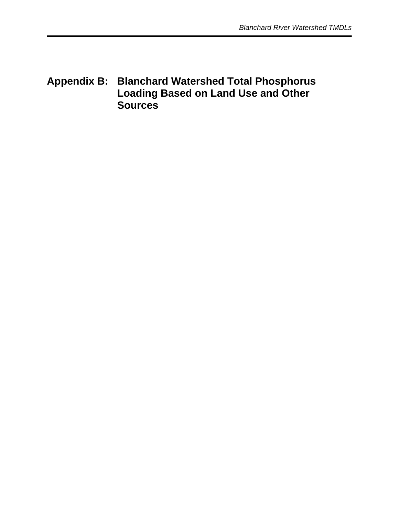# **Appendix B: Blanchard Watershed Total Phosphorus Loading Based on Land Use and Other Sources**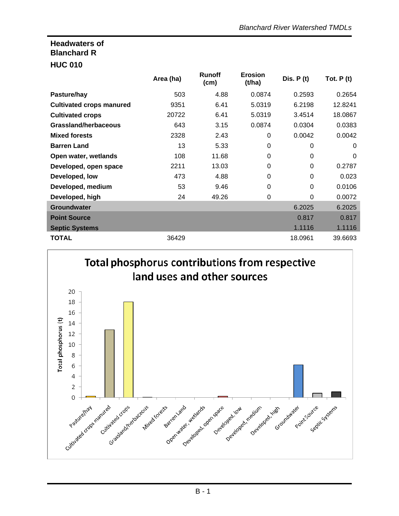## **Headwaters of Blanchard R**

#### **HUC 010**

|                                 | Area (ha) | <b>Runoff</b><br>(cm) | <b>Erosion</b><br>(t/ha) | Dis. $P(t)$ | Tot. $P(t)$ |
|---------------------------------|-----------|-----------------------|--------------------------|-------------|-------------|
| Pasture/hay                     | 503       | 4.88                  | 0.0874                   | 0.2593      | 0.2654      |
| <b>Cultivated crops manured</b> | 9351      | 6.41                  | 5.0319                   | 6.2198      | 12.8241     |
| <b>Cultivated crops</b>         | 20722     | 6.41                  | 5.0319                   | 3.4514      | 18.0867     |
| Grassland/herbaceous            | 643       | 3.15                  | 0.0874                   | 0.0304      | 0.0383      |
| <b>Mixed forests</b>            | 2328      | 2.43                  | 0                        | 0.0042      | 0.0042      |
| <b>Barren Land</b>              | 13        | 5.33                  | 0                        | 0           | $\Omega$    |
| Open water, wetlands            | 108       | 11.68                 | 0                        | $\Omega$    | 0           |
| Developed, open space           | 2211      | 13.03                 | 0                        | $\Omega$    | 0.2787      |
| Developed, low                  | 473       | 4.88                  | 0                        | $\Omega$    | 0.023       |
| Developed, medium               | 53        | 9.46                  | 0                        | 0           | 0.0106      |
| Developed, high                 | 24        | 49.26                 | $\Omega$                 | $\Omega$    | 0.0072      |
| <b>Groundwater</b>              |           |                       |                          | 6.2025      | 6.2025      |
| <b>Point Source</b>             |           |                       |                          | 0.817       | 0.817       |
| <b>Septic Systems</b>           |           |                       |                          | 1.1116      | 1.1116      |
| <b>TOTAL</b>                    | 36429     |                       |                          | 18.0961     | 39.6693     |

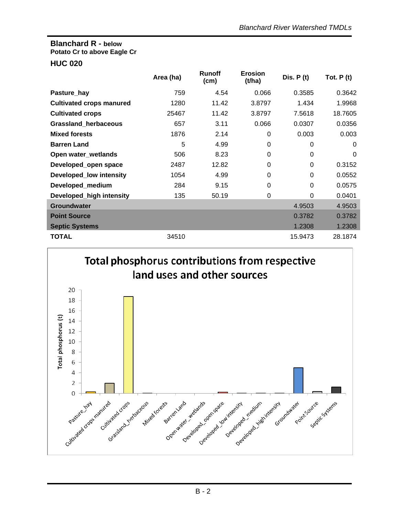# **Blanchard R - below Potato Cr to above Eagle Cr**

#### **HUC 020**

|                                 | Area (ha) | <b>Runoff</b><br>(cm) | <b>Erosion</b><br>(t/ha) | Dis. $P(t)$ | Tot. $P(t)$ |
|---------------------------------|-----------|-----------------------|--------------------------|-------------|-------------|
| Pasture_hay                     | 759       | 4.54                  | 0.066                    | 0.3585      | 0.3642      |
| <b>Cultivated crops manured</b> | 1280      | 11.42                 | 3.8797                   | 1.434       | 1.9968      |
| <b>Cultivated crops</b>         | 25467     | 11.42                 | 3.8797                   | 7.5618      | 18.7605     |
| Grassland_herbaceous            | 657       | 3.11                  | 0.066                    | 0.0307      | 0.0356      |
| <b>Mixed forests</b>            | 1876      | 2.14                  | 0                        | 0.003       | 0.003       |
| <b>Barren Land</b>              | 5         | 4.99                  | 0                        | $\mathbf 0$ | 0           |
| Open water_wetlands             | 506       | 8.23                  | 0                        | $\Omega$    | 0           |
| Developed_open space            | 2487      | 12.82                 | 0                        | $\Omega$    | 0.3152      |
| <b>Developed_low intensity</b>  | 1054      | 4.99                  | $\Omega$                 | $\Omega$    | 0.0552      |
| Developed_medium                | 284       | 9.15                  | 0                        | $\mathbf 0$ | 0.0575      |
| Developed_high intensity        | 135       | 50.19                 | 0                        | $\Omega$    | 0.0401      |
| <b>Groundwater</b>              |           |                       |                          | 4.9503      | 4.9503      |
| <b>Point Source</b>             |           |                       |                          | 0.3782      | 0.3782      |
| <b>Septic Systems</b>           |           |                       |                          | 1.2308      | 1.2308      |
| <b>TOTAL</b>                    | 34510     |                       |                          | 15.9473     | 28.1874     |

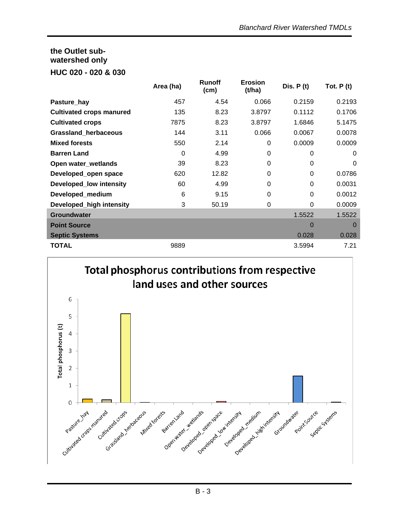### **the Outlet subwatershed only HUC 020 - 020 & 030**

|                                 | Area (ha) | <b>Runoff</b><br>(cm) | <b>Erosion</b><br>(t/ha) | Dis. $P(t)$    | Tot. $P(t)$ |
|---------------------------------|-----------|-----------------------|--------------------------|----------------|-------------|
| Pasture_hay                     | 457       | 4.54                  | 0.066                    | 0.2159         | 0.2193      |
| <b>Cultivated crops manured</b> | 135       | 8.23                  | 3.8797                   | 0.1112         | 0.1706      |
| <b>Cultivated crops</b>         | 7875      | 8.23                  | 3.8797                   | 1.6846         | 5.1475      |
| Grassland_herbaceous            | 144       | 3.11                  | 0.066                    | 0.0067         | 0.0078      |
| <b>Mixed forests</b>            | 550       | 2.14                  | 0                        | 0.0009         | 0.0009      |
| <b>Barren Land</b>              | $\Omega$  | 4.99                  | 0                        | $\Omega$       | 0           |
| Open water_wetlands             | 39        | 8.23                  | 0                        | $\Omega$       | 0           |
| Developed_open space            | 620       | 12.82                 | 0                        | $\Omega$       | 0.0786      |
| <b>Developed_low intensity</b>  | 60        | 4.99                  | 0                        | 0              | 0.0031      |
| Developed_medium                | 6         | 9.15                  | 0                        | 0              | 0.0012      |
| Developed_high intensity        | 3         | 50.19                 | 0                        | $\Omega$       | 0.0009      |
| <b>Groundwater</b>              |           |                       |                          | 1.5522         | 1.5522      |
| <b>Point Source</b>             |           |                       |                          | $\overline{0}$ | $\Omega$    |
| <b>Septic Systems</b>           |           |                       |                          | 0.028          | 0.028       |
| <b>TOTAL</b>                    | 9889      |                       |                          | 3.5994         | 7.21        |

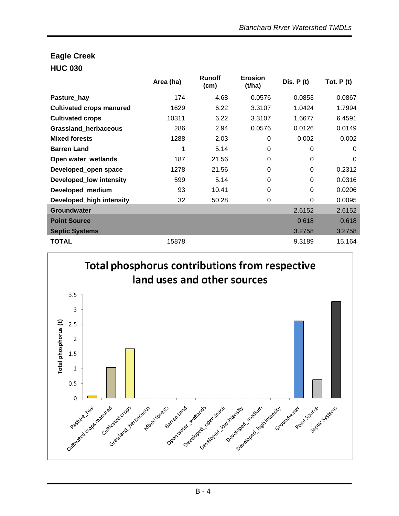### **Eagle Creek HUC 030**

|                                 | Area (ha) | <b>Runoff</b><br>(cm) | <b>Erosion</b><br>(t/ha) | Dis. $P(t)$ | Tot. $P(t)$ |
|---------------------------------|-----------|-----------------------|--------------------------|-------------|-------------|
| Pasture_hay                     | 174       | 4.68                  | 0.0576                   | 0.0853      | 0.0867      |
| <b>Cultivated crops manured</b> | 1629      | 6.22                  | 3.3107                   | 1.0424      | 1.7994      |
| <b>Cultivated crops</b>         | 10311     | 6.22                  | 3.3107                   | 1.6677      | 6.4591      |
| Grassland_herbaceous            | 286       | 2.94                  | 0.0576                   | 0.0126      | 0.0149      |
| <b>Mixed forests</b>            | 1288      | 2.03                  | 0                        | 0.002       | 0.002       |
| <b>Barren Land</b>              | 1         | 5.14                  | 0                        | 0           | 0           |
| Open water_wetlands             | 187       | 21.56                 | 0                        | $\Omega$    | 0           |
| Developed_open space            | 1278      | 21.56                 | 0                        | 0           | 0.2312      |
| <b>Developed_low intensity</b>  | 599       | 5.14                  | 0                        | $\Omega$    | 0.0316      |
| Developed_medium                | 93        | 10.41                 | 0                        | $\Omega$    | 0.0206      |
| Developed_high intensity        | 32        | 50.28                 | 0                        | $\Omega$    | 0.0095      |
| <b>Groundwater</b>              |           |                       |                          | 2.6152      | 2.6152      |
| <b>Point Source</b>             |           |                       |                          | 0.618       | 0.618       |
| <b>Septic Systems</b>           |           |                       |                          | 3.2758      | 3.2758      |
| <b>TOTAL</b>                    | 15878     |                       |                          | 9.3189      | 15.164      |

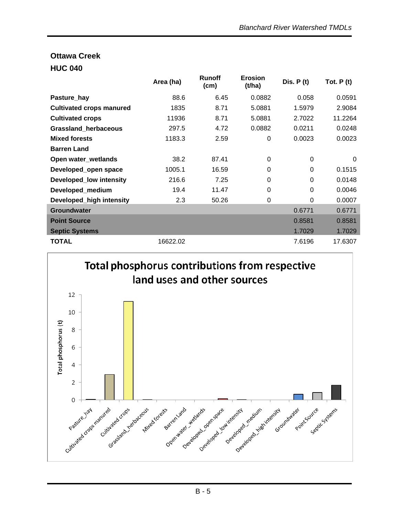## **Ottawa Creek HUC 040**

|                                 | Area (ha) | <b>Runoff</b><br>(cm) | <b>Erosion</b><br>(t/ha) | Dis. $P(t)$ | Tot. $P(t)$ |
|---------------------------------|-----------|-----------------------|--------------------------|-------------|-------------|
| Pasture_hay                     | 88.6      | 6.45                  | 0.0882                   | 0.058       | 0.0591      |
| <b>Cultivated crops manured</b> | 1835      | 8.71                  | 5.0881                   | 1.5979      | 2.9084      |
| <b>Cultivated crops</b>         | 11936     | 8.71                  | 5.0881                   | 2.7022      | 11.2264     |
| <b>Grassland herbaceous</b>     | 297.5     | 4.72                  | 0.0882                   | 0.0211      | 0.0248      |
| <b>Mixed forests</b>            | 1183.3    | 2.59                  | 0                        | 0.0023      | 0.0023      |
| <b>Barren Land</b>              |           |                       |                          |             |             |
| Open water_wetlands             | 38.2      | 87.41                 | $\Omega$                 | $\mathbf 0$ | $\Omega$    |
| Developed_open space            | 1005.1    | 16.59                 | 0                        | $\Omega$    | 0.1515      |
| <b>Developed_low intensity</b>  | 216.6     | 7.25                  | $\Omega$                 | $\Omega$    | 0.0148      |
| Developed_medium                | 19.4      | 11.47                 | $\Omega$                 | $\Omega$    | 0.0046      |
| Developed_high intensity        | 2.3       | 50.26                 | $\Omega$                 | $\Omega$    | 0.0007      |
| <b>Groundwater</b>              |           |                       |                          | 0.6771      | 0.6771      |
| <b>Point Source</b>             |           |                       |                          | 0.8581      | 0.8581      |
| <b>Septic Systems</b>           |           |                       |                          | 1.7029      | 1.7029      |
| <b>TOTAL</b>                    | 16622.02  |                       |                          | 7.6196      | 17.6307     |

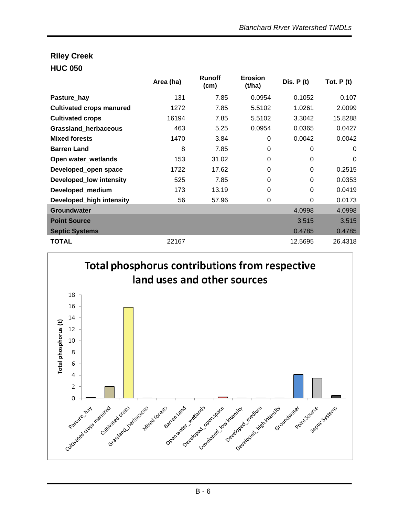# **Riley Creek HUC 050**

|                                 | Area (ha) | <b>Runoff</b><br>(cm) | <b>Erosion</b><br>(t/ha) | Dis. $P(t)$ | Tot. $P(t)$ |
|---------------------------------|-----------|-----------------------|--------------------------|-------------|-------------|
| Pasture_hay                     | 131       | 7.85                  | 0.0954                   | 0.1052      | 0.107       |
| <b>Cultivated crops manured</b> | 1272      | 7.85                  | 5.5102                   | 1.0261      | 2.0099      |
| <b>Cultivated crops</b>         | 16194     | 7.85                  | 5.5102                   | 3.3042      | 15.8288     |
| Grassland_herbaceous            | 463       | 5.25                  | 0.0954                   | 0.0365      | 0.0427      |
| <b>Mixed forests</b>            | 1470      | 3.84                  | 0                        | 0.0042      | 0.0042      |
| <b>Barren Land</b>              | 8         | 7.85                  | 0                        | 0           | 0           |
| Open water_wetlands             | 153       | 31.02                 | 0                        | $\Omega$    | 0           |
| Developed_open space            | 1722      | 17.62                 | $\Omega$                 | 0           | 0.2515      |
| <b>Developed_low intensity</b>  | 525       | 7.85                  | 0                        | $\mathbf 0$ | 0.0353      |
| Developed_medium                | 173       | 13.19                 | 0                        | $\mathbf 0$ | 0.0419      |
| Developed_high intensity        | 56        | 57.96                 | $\Omega$                 | $\Omega$    | 0.0173      |
| <b>Groundwater</b>              |           |                       |                          | 4.0998      | 4.0998      |
| <b>Point Source</b>             |           |                       |                          | 3.515       | 3.515       |
| <b>Septic Systems</b>           |           |                       |                          | 0.4785      | 0.4785      |
| <b>TOTAL</b>                    | 22167     |                       |                          | 12.5695     | 26.4318     |